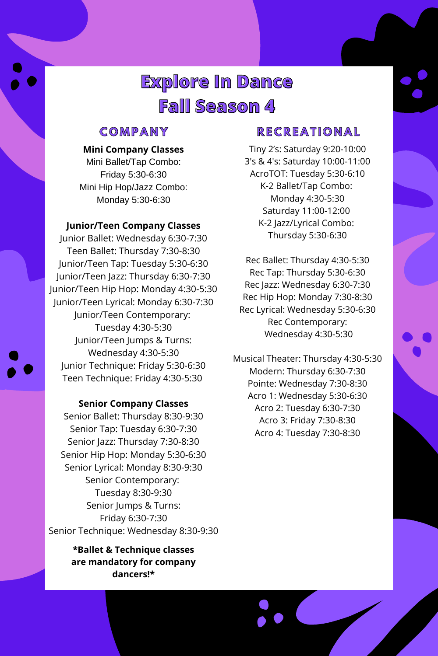## **C O M P A N Y**

### **Mini Company Classes**

Mini Ballet/Tap Combo: Friday 5:30-6:30 Mini Hip Hop/Jazz Combo: Monday 5:30-6:30

#### **Junior/Teen Company Classes**

Junior Ballet: Wednesday 6:30-7:30 Teen Ballet: Thursday 7:30-8:30 Junior/Teen Tap: Tuesday 5:30-6:30 Junior/Teen Jazz: Thursday 6:30-7:30 Junior/Teen Hip Hop: Monday 4:30-5:30 Junior/Teen Lyrical: Monday 6:30-7:30 Junior/Teen Contemporary: Tuesday 4:30-5:30 Junior/Teen Jumps & Turns: Wednesday 4:30-5:30 Junior Technique: Friday 5:30-6:30 Teen Technique: Friday 4:30-5:30

#### **Senior Company Classes**

Senior Ballet: Thursday 8:30-9:30 Senior Tap: Tuesday 6:30-7:30 Senior Jazz: Thursday 7:30-8:30 Senior Hip Hop: Monday 5:30-6:30 Senior Lyrical: Monday 8:30-9:30 Senior Contemporary: Tuesday 8:30-9:30 Senior Jumps & Turns: Friday 6:30-7:30 Senior Technique: Wednesday 8:30-9:30

### **R E C R E A T I O N A L**

Tiny 2's: Saturday 9:20-10:00 3's & 4's: Saturday 10:00-11:00 AcroTOT: Tuesday 5:30-6:10 K-2 Ballet/Tap Combo: Monday 4:30-5:30 Saturday 11:00-12:00 K-2 Jazz/Lyrical Combo:

Thursday 5:30-6:30

Rec Ballet: Thursday 4:30-5:30 Rec Tap: Thursday 5:30-6:30 Rec Jazz: Wednesday 6:30-7:30 Rec Hip Hop: Monday 7:30-8:30 Rec Lyrical: Wednesday 5:30-6:30 Rec Contemporary: Wednesday 4:30-5:30

Musical Theater: Thursday 4:30-5:30 Modern: Thursday 6:30-7:30 Pointe: Wednesday 7:30-8:30 Acro 1: Wednesday 5:30-6:30 Acro 2: Tuesday 6:30-7:30 Acro 3: Friday 7:30-8:30 Acro 4: Tuesday 7:30-8:30

# **Explore In Dance Fall Season 4**

**\*Ballet & Technique classes are mandatory for company dancers!\***